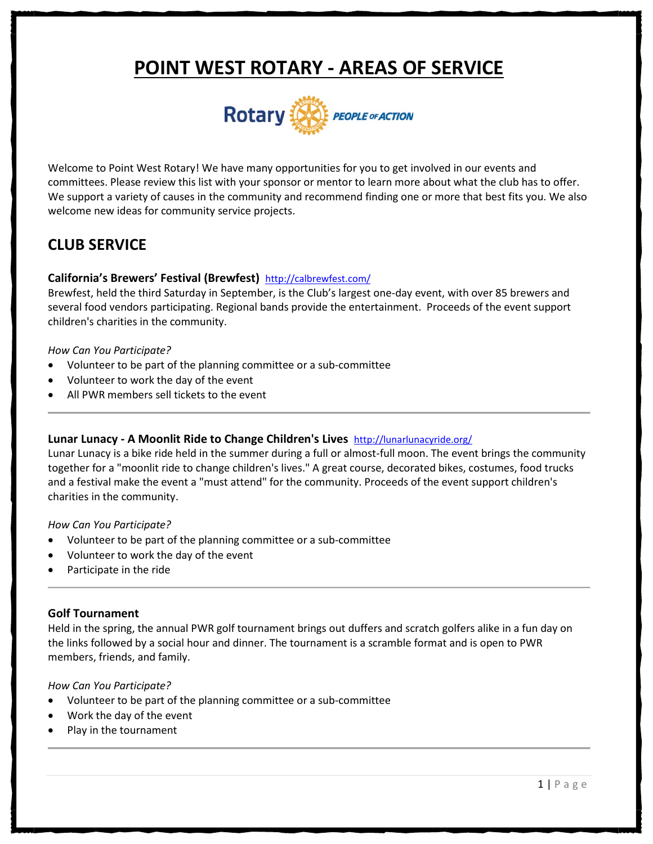# **POINT WEST ROTARY - AREAS OF SERVICE**



Welcome to Point West Rotary! We have many opportunities for you to get involved in our events and committees. Please review this list with your sponsor or mentor to learn more about what the club has to offer. We support a variety of causes in the community and recommend finding one or more that best fits you. We also welcome new ideas for community service projects.

# **CLUB SERVICE**

#### **California's Brewers' Festival (Brewfest)** <http://calbrewfest.com/>

Brewfest, held the third Saturday in September, is the Club's largest one-day event, with over 85 brewers and several food vendors participating. Regional bands provide the entertainment. Proceeds of the event support children's charities in the community.

#### *How Can You Participate?*

- Volunteer to be part of the planning committee or a sub-committee
- Volunteer to work the day of the event
- All PWR members sell tickets to the event

#### **Lunar Lunacy - A Moonlit Ride to Change Children's Lives** <http://lunarlunacyride.org/>

Lunar Lunacy is a bike ride held in the summer during a full or almost-full moon. The event brings the community together for a "moonlit ride to change children's lives." A great course, decorated bikes, costumes, food trucks and a festival make the event a "must attend" for the community. Proceeds of the event support children's charities in the community.

#### *How Can You Participate?*

- Volunteer to be part of the planning committee or a sub-committee
- Volunteer to work the day of the event
- Participate in the ride

#### **Golf Tournament**

Held in the spring, the annual PWR golf tournament brings out duffers and scratch golfers alike in a fun day on the links followed by a social hour and dinner. The tournament is a scramble format and is open to PWR members, friends, and family.

*How Can You Participate?*

- Volunteer to be part of the planning committee or a sub-committee
- Work the day of the event
- Play in the tournament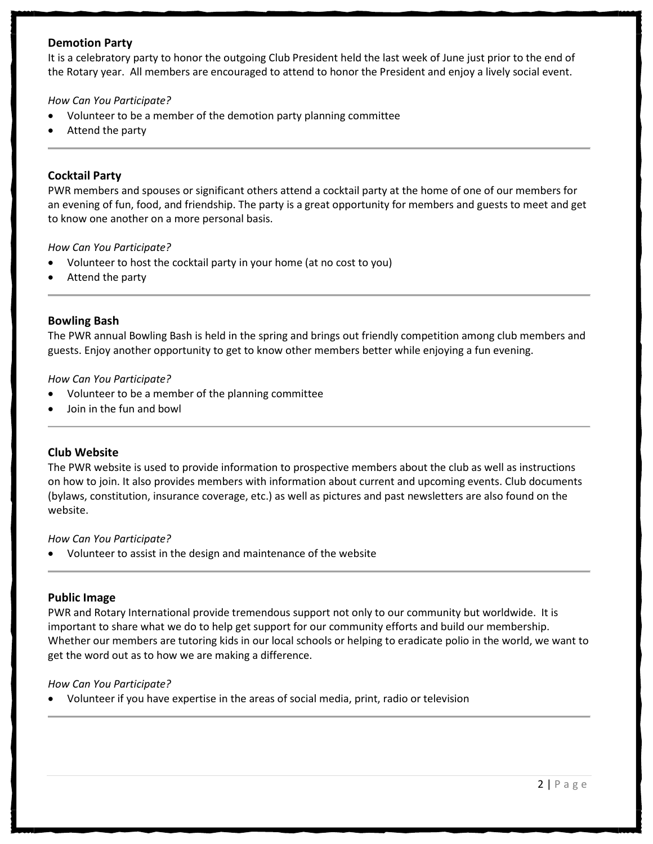# **Demotion Party**

It is a celebratory party to honor the outgoing Club President held the last week of June just prior to the end of the Rotary year. All members are encouraged to attend to honor the President and enjoy a lively social event.

#### *How Can You Participate?*

- Volunteer to be a member of the demotion party planning committee
- Attend the party

#### **Cocktail Party**

PWR members and spouses or significant others attend a cocktail party at the home of one of our members for an evening of fun, food, and friendship. The party is a great opportunity for members and guests to meet and get to know one another on a more personal basis.

#### *How Can You Participate?*

- Volunteer to host the cocktail party in your home (at no cost to you)
- Attend the party

#### **Bowling Bash**

The PWR annual Bowling Bash is held in the spring and brings out friendly competition among club members and guests. Enjoy another opportunity to get to know other members better while enjoying a fun evening.

#### *How Can You Participate?*

- Volunteer to be a member of the planning committee
- Join in the fun and bowl

#### **Club Website**

The PWR website is used to provide information to prospective members about the club as well as instructions on how to join. It also provides members with information about current and upcoming events. Club documents (bylaws, constitution, insurance coverage, etc.) as well as pictures and past newsletters are also found on the website.

#### *How Can You Participate?*

• Volunteer to assist in the design and maintenance of the website

#### **Public Image**

PWR and Rotary International provide tremendous support not only to our community but worldwide. It is important to share what we do to help get support for our community efforts and build our membership. Whether our members are tutoring kids in our local schools or helping to eradicate polio in the world, we want to get the word out as to how we are making a difference.

#### *How Can You Participate?*

• Volunteer if you have expertise in the areas of social media, print, radio or television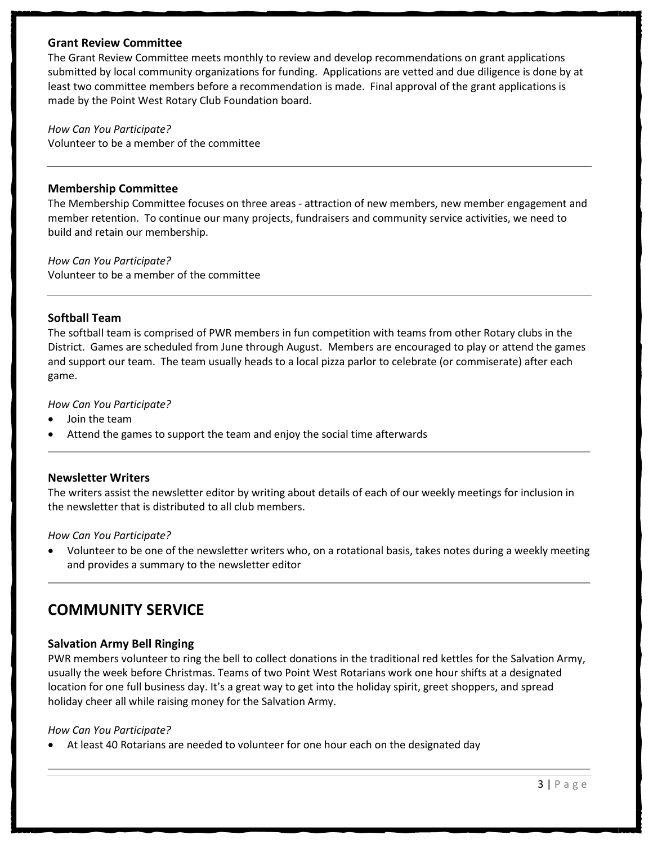# **Grant Review Committee**

The Grant Review Committee meets monthly to review and develop recommendations on grant applications submitted by local community organizations for funding. Applications are vetted and due diligence is done by at least two committee members before a recommendation is made. Final approval of the grant applications is made by the Point West Rotary Club Foundation board.

*How Can You Participate?* Volunteer to be a member of the committee

# **Membership Committee**

The Membership Committee focuses on three areas - attraction of new members, new member engagement and member retention. To continue our many projects, fundraisers and community service activities, we need to build and retain our membership.

*How Can You Participate?* Volunteer to be a member of the committee

#### **Softball Team**

The softball team is comprised of PWR members in fun competition with teams from other Rotary clubs in the District. Games are scheduled from June through August. Members are encouraged to play or attend the games and support our team. The team usually heads to a local pizza parlor to celebrate (or commiserate) after each game.

*How Can You Participate?*

- Join the team
- Attend the games to support the team and enjoy the social time afterwards

# **Newsletter Writers**

The writers assist the newsletter editor by writing about details of each of our weekly meetings for inclusion in the newsletter that is distributed to all club members.

#### *How Can You Participate?*

• Volunteer to be one of the newsletter writers who, on a rotational basis, takes notes during a weekly meeting and provides a summary to the newsletter editor

# **COMMUNITY SERVICE**

# **Salvation Army Bell Ringing**

PWR members volunteer to ring the bell to collect donations in the traditional red kettles for the Salvation Army, usually the week before Christmas. Teams of two Point West Rotarians work one hour shifts at a designated location for one full business day. It's a great way to get into the holiday spirit, greet shoppers, and spread holiday cheer all while raising money for the Salvation Army.

# *How Can You Participate?*

• At least 40 Rotarians are needed to volunteer for one hour each on the designated day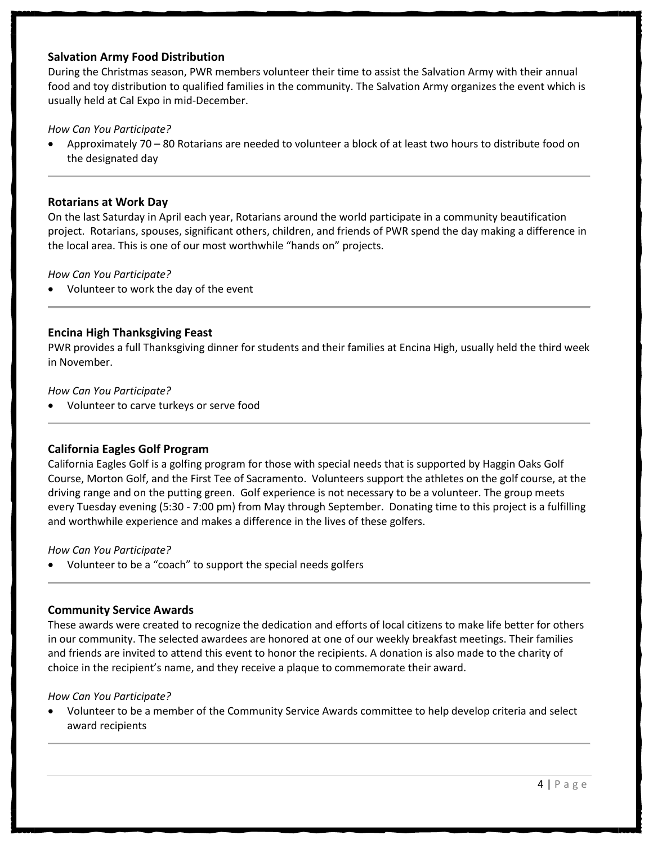# **Salvation Army Food Distribution**

During the Christmas season, PWR members volunteer their time to assist the Salvation Army with their annual food and toy distribution to qualified families in the community. The Salvation Army organizes the event which is usually held at Cal Expo in mid-December.

# *How Can You Participate?*

• Approximately 70 – 80 Rotarians are needed to volunteer a block of at least two hours to distribute food on the designated day

### **Rotarians at Work Day**

On the last Saturday in April each year, Rotarians around the world participate in a community beautification project. Rotarians, spouses, significant others, children, and friends of PWR spend the day making a difference in the local area. This is one of our most worthwhile "hands on" projects.

#### *How Can You Participate?*

• Volunteer to work the day of the event

#### **Encina High Thanksgiving Feast**

PWR provides a full Thanksgiving dinner for students and their families at Encina High, usually held the third week in November.

#### *How Can You Participate?*

• Volunteer to carve turkeys or serve food

#### **California Eagles Golf Program**

California Eagles Golf is a golfing program for those with special needs that is supported by Haggin Oaks Golf Course, Morton Golf, and the First Tee of Sacramento. Volunteers support the athletes on the golf course, at the driving range and on the putting green. Golf experience is not necessary to be a volunteer. The group meets every Tuesday evening (5:30 - 7:00 pm) from May through September. Donating time to this project is a fulfilling and worthwhile experience and makes a difference in the lives of these golfers.

#### *How Can You Participate?*

• Volunteer to be a "coach" to support the special needs golfers

#### **Community Service Awards**

These awards were created to recognize the dedication and efforts of local citizens to make life better for others in our community. The selected awardees are honored at one of our weekly breakfast meetings. Their families and friends are invited to attend this event to honor the recipients. A donation is also made to the charity of choice in the recipient's name, and they receive a plaque to commemorate their award.

#### *How Can You Participate?*

• Volunteer to be a member of the Community Service Awards committee to help develop criteria and select award recipients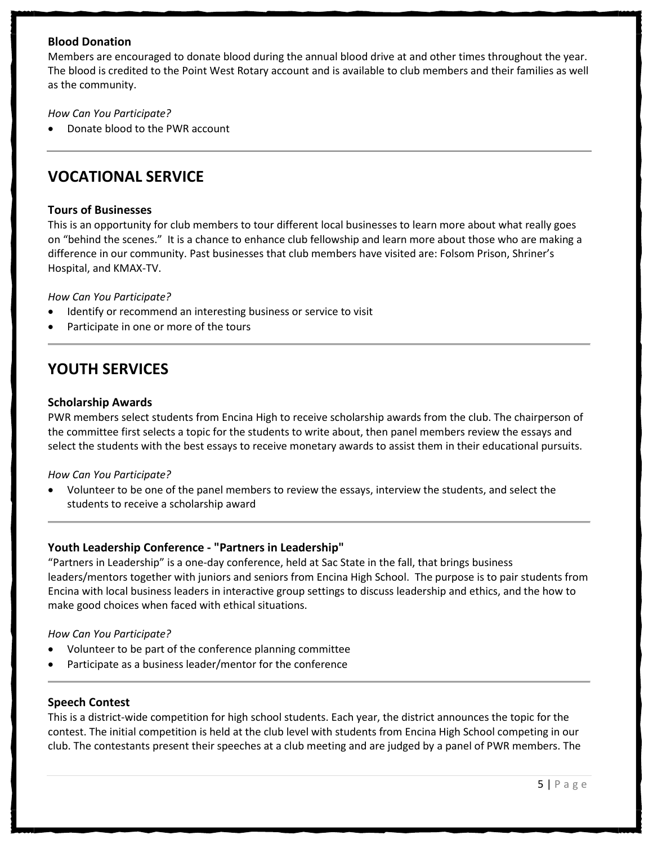# **Blood Donation**

Members are encouraged to donate blood during the annual blood drive at and other times throughout the year. The blood is credited to the Point West Rotary account and is available to club members and their families as well as the community.

### *How Can You Participate?*

• Donate blood to the PWR account

# **VOCATIONAL SERVICE**

#### **Tours of Businesses**

This is an opportunity for club members to tour different local businesses to learn more about what really goes on "behind the scenes." It is a chance to enhance club fellowship and learn more about those who are making a difference in our community. Past businesses that club members have visited are: Folsom Prison, Shriner's Hospital, and KMAX-TV.

#### *How Can You Participate?*

- Identify or recommend an interesting business or service to visit
- Participate in one or more of the tours

# **YOUTH SERVICES**

#### **Scholarship Awards**

PWR members select students from Encina High to receive scholarship awards from the club. The chairperson of the committee first selects a topic for the students to write about, then panel members review the essays and select the students with the best essays to receive monetary awards to assist them in their educational pursuits.

#### *How Can You Participate?*

• Volunteer to be one of the panel members to review the essays, interview the students, and select the students to receive a scholarship award

# **Youth Leadership Conference - "Partners in Leadership"**

"Partners in Leadership" is a one-day conference, held at Sac State in the fall, that brings business leaders/mentors together with juniors and seniors from Encina High School. The purpose is to pair students from Encina with local business leaders in interactive group settings to discuss leadership and ethics, and the how to make good choices when faced with ethical situations.

#### *How Can You Participate?*

- Volunteer to be part of the conference planning committee
- Participate as a business leader/mentor for the conference

#### **Speech Contest**

This is a district-wide competition for high school students. Each year, the district announces the topic for the contest. The initial competition is held at the club level with students from Encina High School competing in our club. The contestants present their speeches at a club meeting and are judged by a panel of PWR members. The